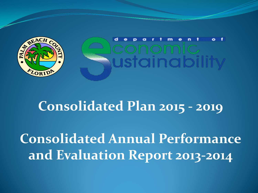

### **Consolidated Plan 2015 - 2019**

**Consolidated Annual Performance and Evaluation Report 2013-2014**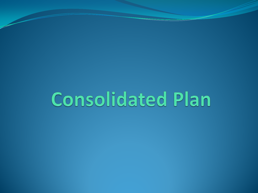## **Consolidated Plan**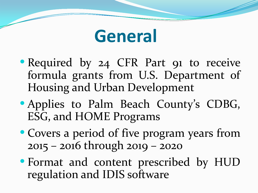

- Required by 24 CFR Part 91 to receive formula grants from U.S. Department of Housing and Urban Development
- Applies to Palm Beach County's CDBG, ESG, and HOME Programs
- Covers a period of five program years from 2015 – 2016 through 2019 – 2020
- Format and content prescribed by HUD regulation and IDIS software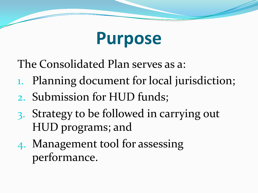### **Purpose**

The Consolidated Plan serves as a:

- 1. Planning document for local jurisdiction;
- 2. Submission for HUD funds;
- 3. Strategy to be followed in carrying out HUD programs; and
- 4. Management tool for assessing performance.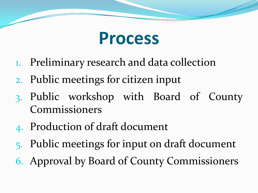

- 1. Preliminary research and data collection
- 2. Public meetings for citizen input
- 3. Public workshop with Board of County Commissioners
- 4. Production of draft document
- 5. Public meetings for input on draft document
- 6. Approval by Board of County Commissioners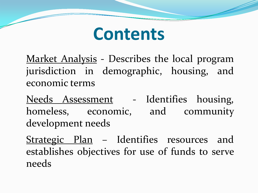

Market Analysis - Describes the local program jurisdiction in demographic, housing, and economic terms

Needs Assessment - Identifies housing, homeless, economic, and community development needs

Strategic Plan - Identifies resources and establishes objectives for use of funds to serve needs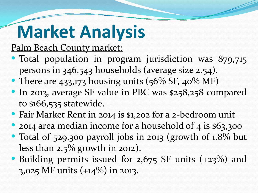# **Market Analysis**

Palm Beach County market:

- Total population in program jurisdiction was 879,715 persons in 346,543 households (average size 2.54).
- There are 433,173 housing units (56% SF, 40% MF)
- In 2013, average SF value in PBC was \$258,258 compared to \$166,535 statewide.
- Fair Market Rent in 2014 is \$1,202 for a 2-bedroom unit
- 2014 area median income for a household of 4 is \$63,300
- Total of 529,300 payroll jobs in 2013 (growth of 1.8% but less than 2.5% growth in 2012).
- Building permits issued for 2,675 SF units (+23%) and 3,025 MF units (+14%) in 2013.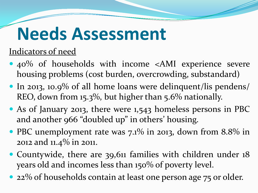### **Needs Assessment**

### Indicators of need

- 40% of households with income <AMI experience severe housing problems (cost burden, overcrowding, substandard)
- In 2013, 10.9% of all home loans were delinquent/lis pendens/ REO, down from 15.3%, but higher than 5.6% nationally.
- As of January 2013, there were 1,543 homeless persons in PBC and another 966 "doubled up" in others' housing.
- PBC unemployment rate was 7.1% in 2013, down from 8.8% in 2012 and 11.4% in 2011.
- Countywide, there are 39,611 families with children under 18 years old and incomes less than 150% of poverty level.
- 22% of households contain at least one person age 75 or older.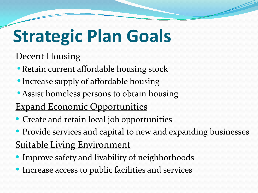# **Strategic Plan Goals**

### **Decent Housing**

- •Retain current affordable housing stock
- •Increase supply of affordable housing
- Assist homeless persons to obtain housing
- Expand Economic Opportunities
- Create and retain local job opportunities
- Provide services and capital to new and expanding businesses

### **Suitable Living Environment**

- Improve safety and livability of neighborhoods
- Increase access to public facilities and services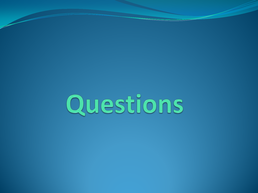# Questions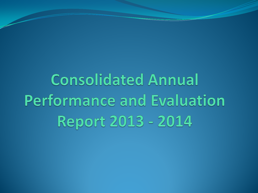**Consolidated Annual Performance and Evaluation Report 2013 - 2014**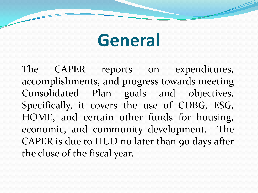### **General**

The CAPER reports on expenditures, accomplishments, and progress towards meeting Consolidated Plan goals and objectives. Specifically, it covers the use of CDBG, ESG, HOME, and certain other funds for housing, economic, and community development. The CAPER is due to HUD no later than 90 days after the close of the fiscal year.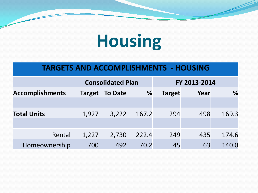## **Housing**

#### **TARGETS AND ACCOMPLISHMENTS - HOUSING**

|                        |               | <b>Consolidated Plan</b> |       | FY 2013-2014  |      |       |  |
|------------------------|---------------|--------------------------|-------|---------------|------|-------|--|
| <b>Accomplishments</b> | <b>Target</b> | <b>To Date</b>           | %     | <b>Target</b> | Year | %     |  |
|                        |               |                          |       |               |      |       |  |
| <b>Total Units</b>     | 1,927         | 3,222                    | 167.2 | 294           | 498  | 169.3 |  |
|                        |               |                          |       |               |      |       |  |
| Rental                 | 1,227         | 2,730                    | 222.4 | 249           | 435  | 174.6 |  |
| Homeownership          | 700           | 492                      | 70.2  | 45            | 63   | 140.0 |  |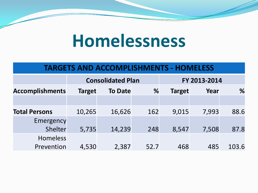### **Homelessness**

#### **TARGETS AND ACCOMPLISHMENTS - HOMELESS**

|                               |               | <b>Consolidated Plan</b> |      | FY 2013-2014  |       |       |
|-------------------------------|---------------|--------------------------|------|---------------|-------|-------|
| <b>Accomplishments</b>        | <b>Target</b> | <b>To Date</b>           | %    | <b>Target</b> | Year  | %     |
|                               |               |                          |      |               |       |       |
| <b>Total Persons</b>          | 10,265        | 16,626                   | 162  | 9,015         | 7,993 | 88.6  |
| Emergency<br>Shelter          | 5,735         | 14,239                   | 248  | 8,547         | 7,508 | 87.8  |
| <b>Homeless</b><br>Prevention | 4,530         | 2,387                    | 52.7 | 468           | 485   | 103.6 |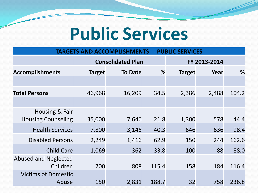### **Public Services**

#### **TARGETS AND ACCOMPLISHMENTS - PUBLIC SERVICES**

|                                             | <b>Consolidated Plan</b> |                |       | FY 2013-2014  |       |       |  |
|---------------------------------------------|--------------------------|----------------|-------|---------------|-------|-------|--|
| <b>Accomplishments</b>                      | <b>Target</b>            | <b>To Date</b> | %     | <b>Target</b> | Year  | %     |  |
|                                             |                          |                |       |               |       |       |  |
| <b>Total Persons</b>                        | 46,968                   | 16,209         | 34.5  | 2,386         | 2,488 | 104.2 |  |
|                                             |                          |                |       |               |       |       |  |
| Housing & Fair<br><b>Housing Counseling</b> | 35,000                   | 7,646          | 21.8  | 1,300         | 578   | 44.4  |  |
| <b>Health Services</b>                      | 7,800                    | 3,146          | 40.3  | 646           | 636   | 98.4  |  |
| <b>Disabled Persons</b>                     | 2,249                    | 1,416          | 62.9  | 150           | 244   | 162.6 |  |
| <b>Child Care</b>                           | 1,069                    | 362            | 33.8  | 100           | 88    | 88.0  |  |
| <b>Abused and Neglected</b><br>Children     | 700                      | 808            | 115.4 | 158           | 184   | 116.4 |  |
| <b>Victims of Domestic</b><br>Abuse         | 150                      | 2,831          | 188.7 | 32            | 758   | 236.8 |  |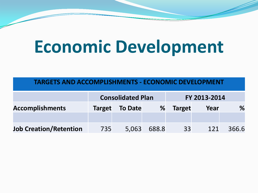### **Economic Development**

#### **TARGETS AND ACCOMPLISHMENTS - ECONOMIC DEVELOPMENT**

|                               | <b>Consolidated Plan</b> |                       |       | FY 2013-2014  |      |       |
|-------------------------------|--------------------------|-----------------------|-------|---------------|------|-------|
| <b>Accomplishments</b>        |                          | <b>Target</b> To Date | %     | <b>Target</b> | Year | %     |
|                               |                          |                       |       |               |      |       |
| <b>Job Creation/Retention</b> | 735                      | 5,063                 | 688.8 | 33            | 121  | 366.6 |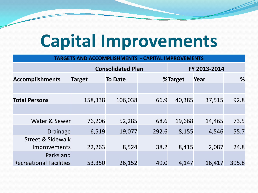### **Capital Improvements**

| <b>TARGETS AND ACCOMPLISHMENTS</b><br><b>CAPITAL IMPROVEMENTS</b> |               |                          |              |         |        |       |  |  |
|-------------------------------------------------------------------|---------------|--------------------------|--------------|---------|--------|-------|--|--|
|                                                                   |               | <b>Consolidated Plan</b> | FY 2013-2014 |         |        |       |  |  |
| <b>Accomplishments</b>                                            | <b>Target</b> | <b>To Date</b>           |              | %Target | Year   | %     |  |  |
|                                                                   |               |                          |              |         |        |       |  |  |
| <b>Total Persons</b>                                              | 158,338       | 106,038                  | 66.9         | 40,385  | 37,515 | 92.8  |  |  |
|                                                                   |               |                          |              |         |        |       |  |  |
| Water & Sewer                                                     | 76,206        | 52,285                   | 68.6         | 19,668  | 14,465 | 73.5  |  |  |
| <b>Drainage</b>                                                   | 6,519         | 19,077                   | 292.6        | 8,155   | 4,546  | 55.7  |  |  |
| <b>Street &amp; Sidewalk</b><br><b>Improvements</b>               | 22,263        | 8,524                    | 38.2         | 8,415   | 2,087  | 24.8  |  |  |
| Parks and<br><b>Recreational Facilities</b>                       | 53,350        | 26,152                   | 49.0         | 4,147   | 16,417 | 395.8 |  |  |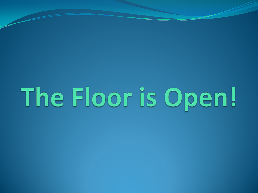The Floor is Open!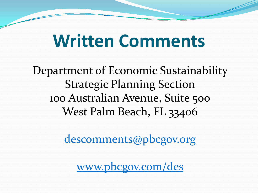### **Written Comments**

Department of Economic Sustainability Strategic Planning Section 100 Australian Avenue, Suite 500 West Palm Beach, FL 33406

descomments@pbcgov.org

www.pbcgov.com/des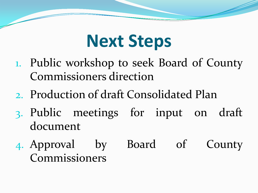### **Next Steps**

- 1. Public workshop to seek Board of County Commissioners direction
- 2. Production of draft Consolidated Plan
- 3. Public meetings for input on draft document
- 4. Approval by Board of County Commissioners